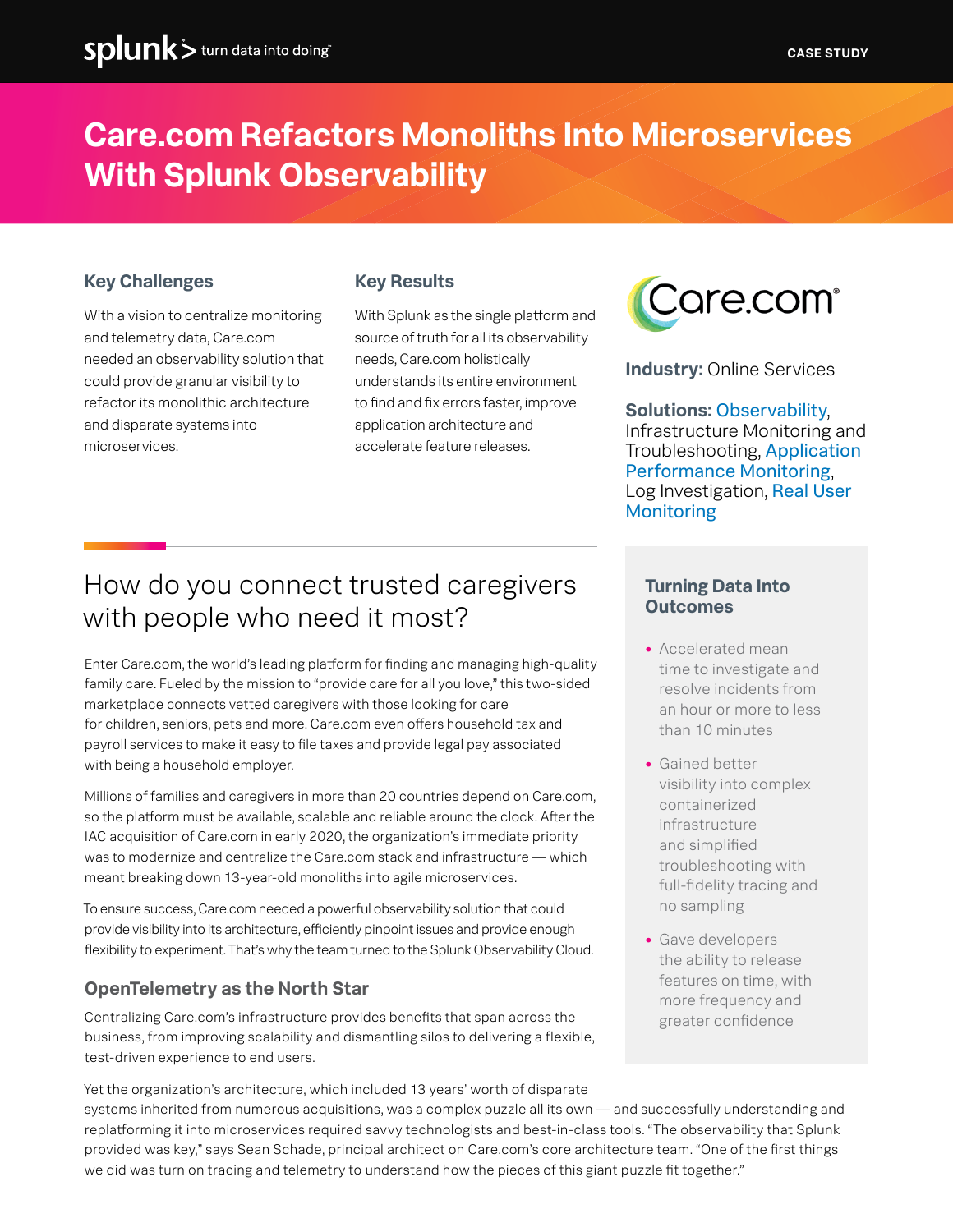### **Care.com Refactors Monoliths Into Microservices With Splunk Observability**

#### **Key Challenges**

With a vision to centralize monitoring and telemetry data, Care.com needed an observability solution that could provide granular visibility to refactor its monolithic architecture and disparate systems into microservices.

#### **Key Results**

With Splunk as the single platform and source of truth for all its observability needs, Care.com holistically understands its entire environment to find and fix errors faster, improve application architecture and accelerate feature releases.



**Industry:** Online Services

**Solutions:** [Observability](https://www.splunk.com/en_us/devops.html), Infrastructure Monitoring and Troubleshooting, [Application](https://www.splunk.com/en_us/devops/application-performance-monitoring.html)  [Performance Monitoring](https://www.splunk.com/en_us/devops/application-performance-monitoring.html), Log Investigation, [Real User](https://www.splunk.com/en_us/form/splunk-real-user-monitoring.html)  [Monitoring](https://www.splunk.com/en_us/form/splunk-real-user-monitoring.html)

### How do you connect trusted caregivers with people who need it most?

Enter Care.com, the world's leading platform for finding and managing high-quality family care. Fueled by the mission to "provide care for all you love," this two-sided marketplace connects vetted caregivers with those looking for care for children, seniors, pets and more. Care.com even offers household tax and payroll services to make it easy to file taxes and provide legal pay associated with being a household employer.

Millions of families and caregivers in more than 20 countries depend on Care.com, so the platform must be available, scalable and reliable around the clock. After the IAC acquisition of Care.com in early 2020, the organization's immediate priority was to modernize and centralize the Care.com stack and infrastructure — which meant breaking down 13-year-old monoliths into agile microservices.

To ensure success, Care.com needed a powerful observability solution that could provide visibility into its architecture, efficiently pinpoint issues and provide enough flexibility to experiment. That's why the team turned to the Splunk Observability Cloud.

#### **OpenTelemetry as the North Star**

Centralizing Care.com's infrastructure provides benefits that span across the business, from improving scalability and dismantling silos to delivering a flexible, test-driven experience to end users.

Yet the organization's architecture, which included 13 years' worth of disparate systems inherited from numerous acquisitions, was a complex puzzle all its own — and successfully understanding and replatforming it into microservices required savvy technologists and best-in-class tools. "The observability that Splunk provided was key," says Sean Schade, principal architect on Care.com's core architecture team. "One of the first things we did was turn on tracing and telemetry to understand how the pieces of this giant puzzle fit together."

#### **Turning Data Into Outcomes**

- **•** Accelerated mean time to investigate and resolve incidents from an hour or more to less than 10 minutes
- **•** Gained better visibility into complex containerized infrastructure and simplified troubleshooting with full-fidelity tracing and no sampling
- **•** Gave developers the ability to release features on time, with more frequency and greater confidence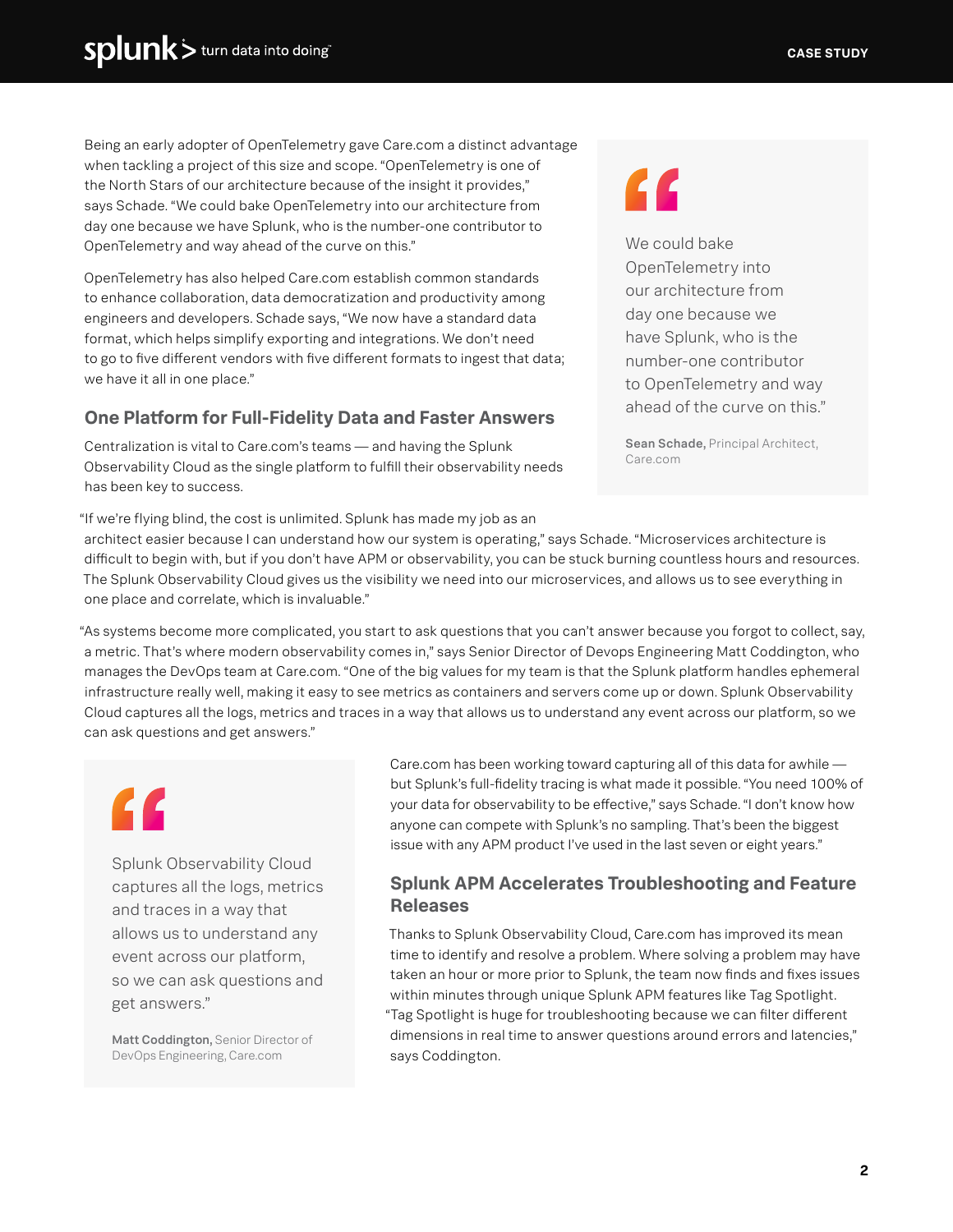Being an early adopter of OpenTelemetry gave Care.com a distinct advantage when tackling a project of this size and scope. "OpenTelemetry is one of the North Stars of our architecture because of the insight it provides," says Schade. "We could bake OpenTelemetry into our architecture from day one because we have Splunk, who is the number-one contributor to OpenTelemetry and way ahead of the curve on this."

OpenTelemetry has also helped Care.com establish common standards to enhance collaboration, data democratization and productivity among engineers and developers. Schade says, "We now have a standard data format, which helps simplify exporting and integrations. We don't need to go to five different vendors with five different formats to ingest that data; we have it all in one place."

#### **One Platform for Full-Fidelity Data and Faster Answers**

Centralization is vital to Care.com's teams — and having the Splunk Observability Cloud as the single platform to fulfill their observability needs has been key to success.

### "

We could bake OpenTelemetry into our architecture from day one because we have Splunk, who is the number-one contributor to OpenTelemetry and way ahead of the curve on this."

Sean Schade, Principal Architect, Care.com

"If we're flying blind, the cost is unlimited. Splunk has made my job as an

architect easier because I can understand how our system is operating," says Schade. "Microservices architecture is difficult to begin with, but if you don't have APM or observability, you can be stuck burning countless hours and resources. The Splunk Observability Cloud gives us the visibility we need into our microservices, and allows us to see everything in one place and correlate, which is invaluable."

"As systems become more complicated, you start to ask questions that you can't answer because you forgot to collect, say, a metric. That's where modern observability comes in," says Senior Director of Devops Engineering Matt Coddington, who manages the DevOps team at Care.com. "One of the big values for my team is that the Splunk platform handles ephemeral infrastructure really well, making it easy to see metrics as containers and servers come up or down. Splunk Observability Cloud captures all the logs, metrics and traces in a way that allows us to understand any event across our platform, so we can ask questions and get answers."

"

Splunk Observability Cloud captures all the logs, metrics and traces in a way that allows us to understand any event across our platform, so we can ask questions and get answers."

Matt Coddington, Senior Director of DevOps Engineering, Care.com

Care.com has been working toward capturing all of this data for awhile but Splunk's full-fidelity tracing is what made it possible. "You need 100% of your data for observability to be effective," says Schade. "I don't know how anyone can compete with Splunk's no sampling. That's been the biggest issue with any APM product I've used in the last seven or eight years."

#### **Splunk APM Accelerates Troubleshooting and Feature Releases**

Thanks to Splunk Observability Cloud, Care.com has improved its mean time to identify and resolve a problem. Where solving a problem may have taken an hour or more prior to Splunk, the team now finds and fixes issues within minutes through unique Splunk APM features like Tag Spotlight. "Tag Spotlight is huge for troubleshooting because we can filter different dimensions in real time to answer questions around errors and latencies," says Coddington.